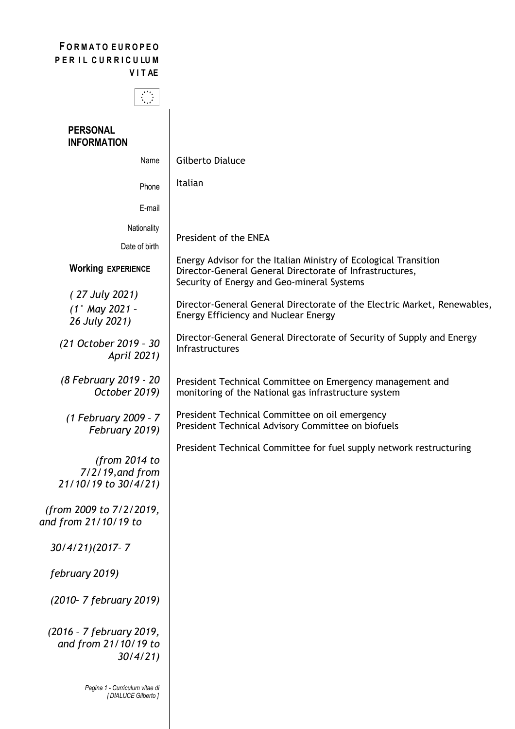## **F O R M A T O E U R O P E O**  PER IL CURRICULUM **V I T AE**



## **PERSONAL INFORMATION**

| Name                                                        | Gilberto Dialuce                                                                                                                                                           |
|-------------------------------------------------------------|----------------------------------------------------------------------------------------------------------------------------------------------------------------------------|
| Phone                                                       | Italian                                                                                                                                                                    |
| E-mail                                                      |                                                                                                                                                                            |
| Nationality<br>Date of birth                                | President of the ENEA                                                                                                                                                      |
| <b>Working EXPERIENCE</b>                                   | Energy Advisor for the Italian Ministry of Ecological Transition<br>Director-General General Directorate of Infrastructures,<br>Security of Energy and Geo-mineral Systems |
| (27 July 2021)<br>$(1°$ May 2021 -<br>26 July 2021)         | Director-General General Directorate of the Electric Market, Renewables,<br>Energy Efficiency and Nuclear Energy                                                           |
| (21 October 2019 - 30<br>April 2021)                        | Director-General General Directorate of Security of Supply and Energy<br><b>Infrastructures</b>                                                                            |
| (8 February 2019 - 20<br>October 2019)                      | President Technical Committee on Emergency management and<br>monitoring of the National gas infrastructure system                                                          |
| (1 February 2009 - 7<br>February 2019)                      | President Technical Committee on oil emergency<br>President Technical Advisory Committee on biofuels                                                                       |
| (from $2014$ to<br>7/2/19, and from<br>21/10/19 to 30/4/21) | President Technical Committee for fuel supply network restructuring                                                                                                        |
| (from 2009 to 7/2/2019,<br>and from 21/10/19 to             |                                                                                                                                                                            |
| 30/4/21)(2017-7                                             |                                                                                                                                                                            |
| february 2019)                                              |                                                                                                                                                                            |
| (2010- 7 february 2019)                                     |                                                                                                                                                                            |
| (2016 - 7 february 2019,<br>and from 21/10/19 to<br>30/4/21 |                                                                                                                                                                            |
| Pagina 1 - Curriculum vitae di<br>[DIALUCE Gilberto]        |                                                                                                                                                                            |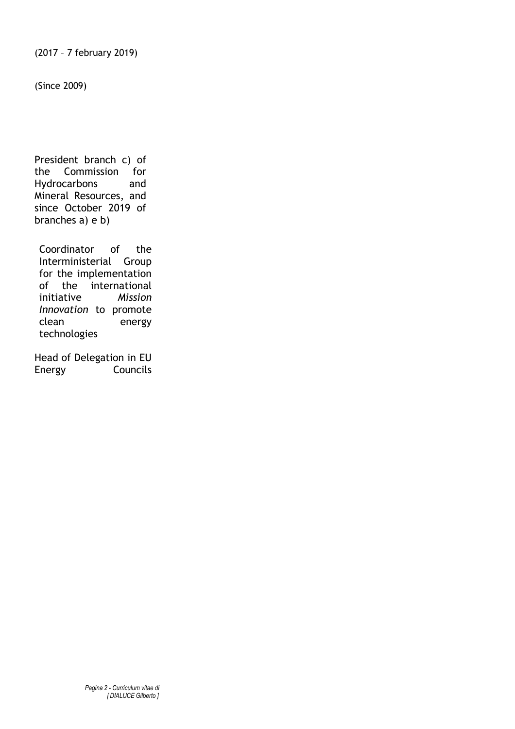(Since 2009)

President branch c) of the Commission for Hydrocarbons and Mineral Resources, and since October 2019 of branches a) e b)

Coordinator of the Interministerial Group for the implementation of the international initiative *Mission Innovation* to promote clean energy technologies

Head of Delegation in EU Energy Councils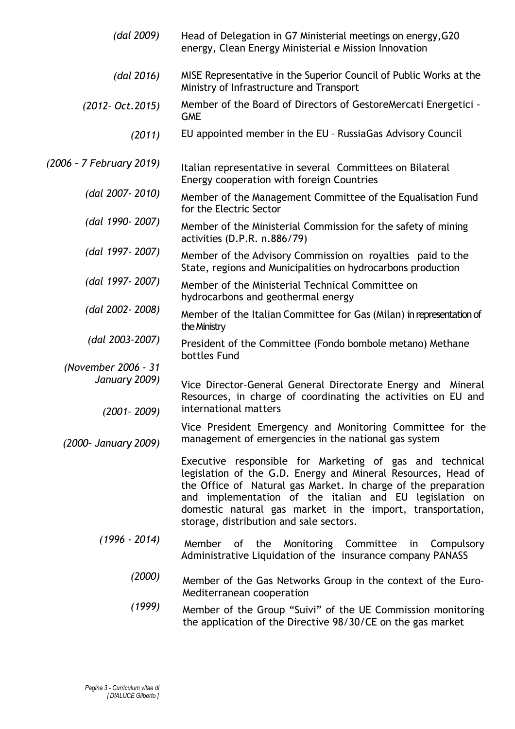| (dal 2009)               | Head of Delegation in G7 Ministerial meetings on energy, G20<br>energy, Clean Energy Ministerial e Mission Innovation                                                                                                                                                                                                                                           |
|--------------------------|-----------------------------------------------------------------------------------------------------------------------------------------------------------------------------------------------------------------------------------------------------------------------------------------------------------------------------------------------------------------|
| (dal 2016)               | MISE Representative in the Superior Council of Public Works at the<br>Ministry of Infrastructure and Transport                                                                                                                                                                                                                                                  |
| $(2012 - Oct. 2015)$     | Member of the Board of Directors of GestoreMercati Energetici -<br><b>GME</b>                                                                                                                                                                                                                                                                                   |
| (2011)                   | EU appointed member in the EU - RussiaGas Advisory Council                                                                                                                                                                                                                                                                                                      |
| (2006 - 7 February 2019) | Italian representative in several Committees on Bilateral<br>Energy cooperation with foreign Countries                                                                                                                                                                                                                                                          |
| (dal 2007-2010)          | Member of the Management Committee of the Equalisation Fund<br>for the Electric Sector                                                                                                                                                                                                                                                                          |
| (dal 1990-2007)          | Member of the Ministerial Commission for the safety of mining<br>activities (D.P.R. n.886/79)                                                                                                                                                                                                                                                                   |
| (dal 1997-2007)          | Member of the Advisory Commission on royalties paid to the<br>State, regions and Municipalities on hydrocarbons production                                                                                                                                                                                                                                      |
| (dal 1997-2007)          | Member of the Ministerial Technical Committee on<br>hydrocarbons and geothermal energy                                                                                                                                                                                                                                                                          |
| (dal 2002-2008)          | Member of the Italian Committee for Gas (Milan) in representation of<br>the Ministry                                                                                                                                                                                                                                                                            |
| (dal 2003-2007)          | President of the Committee (Fondo bombole metano) Methane<br>bottles Fund                                                                                                                                                                                                                                                                                       |
| (November 2006 - 31      |                                                                                                                                                                                                                                                                                                                                                                 |
| January 2009)            |                                                                                                                                                                                                                                                                                                                                                                 |
|                          | Vice Director-General General Directorate Energy and Mineral<br>Resources, in charge of coordinating the activities on EU and<br>international matters                                                                                                                                                                                                          |
| $(2001 - 2009)$          |                                                                                                                                                                                                                                                                                                                                                                 |
| (2000- January 2009)     | Vice President Emergency and Monitoring Committee for the<br>management of emergencies in the national gas system                                                                                                                                                                                                                                               |
|                          | Executive responsible for Marketing of gas and technical<br>legislation of the G.D. Energy and Mineral Resources, Head of<br>the Office of Natural gas Market. In charge of the preparation<br>and implementation of the italian and EU legislation on<br>domestic natural gas market in the import, transportation,<br>storage, distribution and sale sectors. |
| $(1996 - 2014)$          | Member of the Monitoring Committee in<br>Compulsory<br>Administrative Liquidation of the insurance company PANASS                                                                                                                                                                                                                                               |
| (2000)                   | Member of the Gas Networks Group in the context of the Euro-<br>Mediterranean cooperation                                                                                                                                                                                                                                                                       |
| (1999)                   | Member of the Group "Suivi" of the UE Commission monitoring<br>the application of the Directive 98/30/CE on the gas market                                                                                                                                                                                                                                      |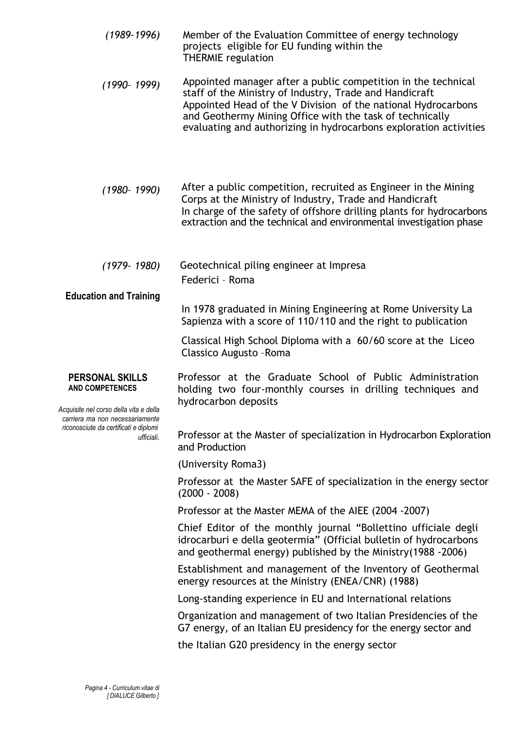| $(1989 - 1996)$                                                                                                                                                                      | Member of the Evaluation Committee of energy technology<br>projects eligible for EU funding within the<br><b>THERMIE</b> regulation                                                                                                                                                                                        |
|--------------------------------------------------------------------------------------------------------------------------------------------------------------------------------------|----------------------------------------------------------------------------------------------------------------------------------------------------------------------------------------------------------------------------------------------------------------------------------------------------------------------------|
| $(1990 - 1999)$                                                                                                                                                                      | Appointed manager after a public competition in the technical<br>staff of the Ministry of Industry, Trade and Handicraft<br>Appointed Head of the V Division of the national Hydrocarbons<br>and Geothermy Mining Office with the task of technically<br>evaluating and authorizing in hydrocarbons exploration activities |
| $(1980 - 1990)$                                                                                                                                                                      | After a public competition, recruited as Engineer in the Mining<br>Corps at the Ministry of Industry, Trade and Handicraft<br>In charge of the safety of offshore drilling plants for hydrocarbons<br>extraction and the technical and environmental investigation phase                                                   |
| $(1979 - 1980)$<br><b>Education and Training</b>                                                                                                                                     | Geotechnical piling engineer at Impresa<br>Federici - Roma                                                                                                                                                                                                                                                                 |
|                                                                                                                                                                                      | In 1978 graduated in Mining Engineering at Rome University La<br>Sapienza with a score of 110/110 and the right to publication                                                                                                                                                                                             |
|                                                                                                                                                                                      | Classical High School Diploma with a 60/60 score at the Liceo<br>Classico Augusto - Roma                                                                                                                                                                                                                                   |
| <b>PERSONAL SKILLS</b><br><b>AND COMPETENCES</b><br>Acquisite nel corso della vita e della<br>carriera ma non necessariamente<br>riconosciute da certificati e diplomi<br>ufficiali. | Professor at the Graduate School of Public Administration<br>holding two four-monthly courses in drilling techniques and<br>hydrocarbon deposits                                                                                                                                                                           |
|                                                                                                                                                                                      | Professor at the Master of specialization in Hydrocarbon Exploration<br>and Production                                                                                                                                                                                                                                     |
|                                                                                                                                                                                      | (University Roma3)                                                                                                                                                                                                                                                                                                         |
|                                                                                                                                                                                      | Professor at the Master SAFE of specialization in the energy sector<br>$(2000 - 2008)$                                                                                                                                                                                                                                     |
|                                                                                                                                                                                      | Professor at the Master MEMA of the AIEE (2004 -2007)                                                                                                                                                                                                                                                                      |
|                                                                                                                                                                                      | Chief Editor of the monthly journal "Bollettino ufficiale degli<br>idrocarburi e della geotermia" (Official bulletin of hydrocarbons<br>and geothermal energy) published by the Ministry (1988 -2006)                                                                                                                      |
|                                                                                                                                                                                      | Establishment and management of the Inventory of Geothermal<br>energy resources at the Ministry (ENEA/CNR) (1988)                                                                                                                                                                                                          |
|                                                                                                                                                                                      | Long-standing experience in EU and International relations                                                                                                                                                                                                                                                                 |
|                                                                                                                                                                                      | Organization and management of two Italian Presidencies of the<br>G7 energy, of an Italian EU presidency for the energy sector and                                                                                                                                                                                         |
|                                                                                                                                                                                      | the Italian G20 presidency in the energy sector                                                                                                                                                                                                                                                                            |